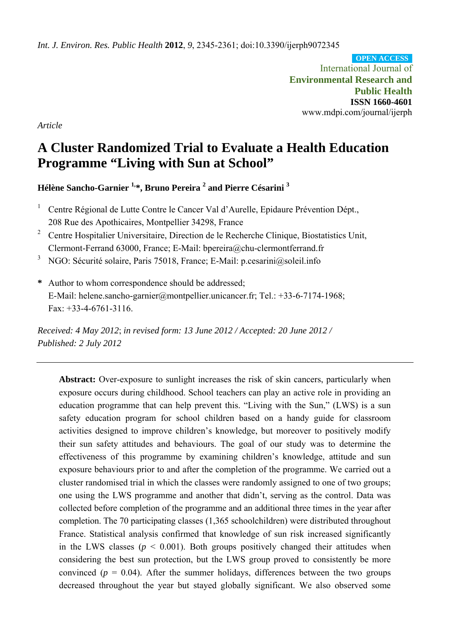*Int. J. Environ. Res. Public Health* **2012**, *9*, 2345-2361; doi:10.3390/ijerph9072345

International Journal of **Environmental Research and Public Health ISSN 1660-4601**  www.mdpi.com/journal/ijerph **OPEN ACCESS**

*Article* 

# **A Cluster Randomized Trial to Evaluate a Health Education Programme "Living with Sun at School"**

**Hélène Sancho-Garnier 1,\*, Bruno Pereira 2 and Pierre Césarini 3**

- <sup>1</sup> Centre Régional de Lutte Contre le Cancer Val d'Aurelle, Epidaure Prévention Dépt., 208 Rue des Apothicaires, Montpellier 34298, France
- <sup>2</sup> Centre Hospitalier Universitaire, Direction de le Recherche Clinique, Biostatistics Unit, Clermont-Ferrand 63000, France; E-Mail: bpereira@chu-clermontferrand.fr
- 3 NGO: Sécurité solaire, Paris 75018, France; E-Mail: p.cesarini@soleil.info
- **\*** Author to whom correspondence should be addressed; E-Mail: helene.sancho-garnier@montpellier.unicancer.fr; Tel.: +33-6-7174-1968; Fax:  $+33-4-6761-3116$ .

*Received: 4 May 2012*; *in revised form: 13 June 2012 / Accepted: 20 June 2012 / Published: 2 July 2012* 

**Abstract:** Over-exposure to sunlight increases the risk of skin cancers, particularly when exposure occurs during childhood. School teachers can play an active role in providing an education programme that can help prevent this. "Living with the Sun," (LWS) is a sun safety education program for school children based on a handy guide for classroom activities designed to improve children's knowledge, but moreover to positively modify their sun safety attitudes and behaviours. The goal of our study was to determine the effectiveness of this programme by examining children's knowledge, attitude and sun exposure behaviours prior to and after the completion of the programme. We carried out a cluster randomised trial in which the classes were randomly assigned to one of two groups; one using the LWS programme and another that didn't, serving as the control. Data was collected before completion of the programme and an additional three times in the year after completion. The 70 participating classes (1,365 schoolchildren) were distributed throughout France. Statistical analysis confirmed that knowledge of sun risk increased significantly in the LWS classes  $(p < 0.001)$ . Both groups positively changed their attitudes when considering the best sun protection, but the LWS group proved to consistently be more convinced ( $p = 0.04$ ). After the summer holidays, differences between the two groups decreased throughout the year but stayed globally significant. We also observed some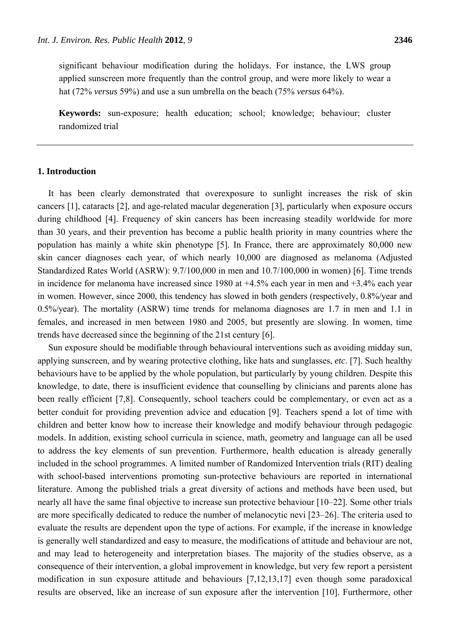significant behaviour modification during the holidays. For instance, the LWS group applied sunscreen more frequently than the control group, and were more likely to wear a hat (72% *versus* 59%) and use a sun umbrella on the beach (75% *versus* 64%).

**Keywords:** sun-exposure; health education; school; knowledge; behaviour; cluster randomized trial

## **1. Introduction**

It has been clearly demonstrated that overexposure to sunlight increases the risk of skin cancers [1], cataracts [2], and age-related macular degeneration [3], particularly when exposure occurs during childhood [4]. Frequency of skin cancers has been increasing steadily worldwide for more than 30 years, and their prevention has become a public health priority in many countries where the population has mainly a white skin phenotype [5]. In France, there are approximately 80,000 new skin cancer diagnoses each year, of which nearly 10,000 are diagnosed as melanoma (Adjusted Standardized Rates World (ASRW): 9.7/100,000 in men and 10.7/100,000 in women) [6]. Time trends in incidence for melanoma have increased since 1980 at +4.5% each year in men and +3.4% each year in women. However, since 2000, this tendency has slowed in both genders (respectively, 0.8%/year and 0.5%/year). The mortality (ASRW) time trends for melanoma diagnoses are 1.7 in men and 1.1 in females, and increased in men between 1980 and 2005, but presently are slowing. In women, time trends have decreased since the beginning of the 21st century [6].

Sun exposure should be modifiable through behavioural interventions such as avoiding midday sun, applying sunscreen, and by wearing protective clothing, like hats and sunglasses, *etc*. [7]. Such healthy behaviours have to be applied by the whole population, but particularly by young children. Despite this knowledge, to date, there is insufficient evidence that counselling by clinicians and parents alone has been really efficient [7,8]. Consequently, school teachers could be complementary, or even act as a better conduit for providing prevention advice and education [9]. Teachers spend a lot of time with children and better know how to increase their knowledge and modify behaviour through pedagogic models. In addition, existing school curricula in science, math, geometry and language can all be used to address the key elements of sun prevention. Furthermore, health education is already generally included in the school programmes. A limited number of Randomized Intervention trials (RIT) dealing with school-based interventions promoting sun-protective behaviours are reported in international literature. Among the published trials a great diversity of actions and methods have been used, but nearly all have the same final objective to increase sun protective behaviour [10–22]. Some other trials are more specifically dedicated to reduce the number of melanocytic nevi [23–26]. The criteria used to evaluate the results are dependent upon the type of actions. For example, if the increase in knowledge is generally well standardized and easy to measure, the modifications of attitude and behaviour are not, and may lead to heterogeneity and interpretation biases. The majority of the studies observe, as a consequence of their intervention, a global improvement in knowledge, but very few report a persistent modification in sun exposure attitude and behaviours [7,12,13,17] even though some paradoxical results are observed, like an increase of sun exposure after the intervention [10]. Furthermore, other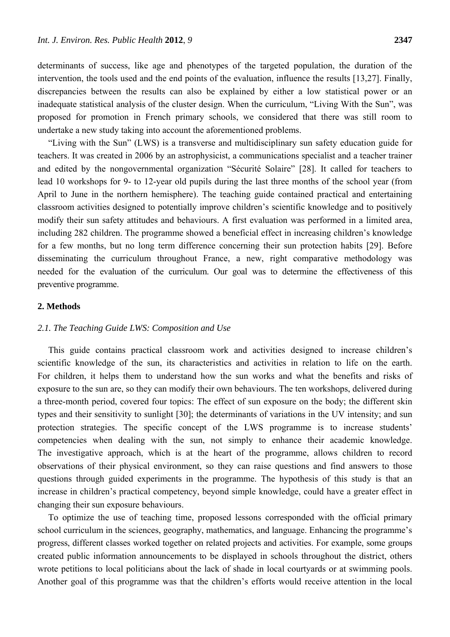determinants of success, like age and phenotypes of the targeted population, the duration of the intervention, the tools used and the end points of the evaluation, influence the results [13,27]. Finally, discrepancies between the results can also be explained by either a low statistical power or an inadequate statistical analysis of the cluster design. When the curriculum, "Living With the Sun", was proposed for promotion in French primary schools, we considered that there was still room to undertake a new study taking into account the aforementioned problems.

"Living with the Sun" (LWS) is a transverse and multidisciplinary sun safety education guide for teachers. It was created in 2006 by an astrophysicist, a communications specialist and a teacher trainer and edited by the nongovernmental organization "Sécurité Solaire" [28]. It called for teachers to lead 10 workshops for 9- to 12-year old pupils during the last three months of the school year (from April to June in the northern hemisphere). The teaching guide contained practical and entertaining classroom activities designed to potentially improve children's scientific knowledge and to positively modify their sun safety attitudes and behaviours. A first evaluation was performed in a limited area, including 282 children. The programme showed a beneficial effect in increasing children's knowledge for a few months, but no long term difference concerning their sun protection habits [29]. Before disseminating the curriculum throughout France, a new, right comparative methodology was needed for the evaluation of the curriculum. Our goal was to determine the effectiveness of this preventive programme.

# **2. Methods**

## *2.1. The Teaching Guide LWS: Composition and Use*

This guide contains practical classroom work and activities designed to increase children's scientific knowledge of the sun, its characteristics and activities in relation to life on the earth. For children, it helps them to understand how the sun works and what the benefits and risks of exposure to the sun are, so they can modify their own behaviours. The ten workshops, delivered during a three-month period, covered four topics: The effect of sun exposure on the body; the different skin types and their sensitivity to sunlight [30]; the determinants of variations in the UV intensity; and sun protection strategies. The specific concept of the LWS programme is to increase students' competencies when dealing with the sun, not simply to enhance their academic knowledge. The investigative approach, which is at the heart of the programme, allows children to record observations of their physical environment, so they can raise questions and find answers to those questions through guided experiments in the programme. The hypothesis of this study is that an increase in children's practical competency, beyond simple knowledge, could have a greater effect in changing their sun exposure behaviours.

To optimize the use of teaching time, proposed lessons corresponded with the official primary school curriculum in the sciences, geography, mathematics, and language. Enhancing the programme's progress, different classes worked together on related projects and activities. For example, some groups created public information announcements to be displayed in schools throughout the district, others wrote petitions to local politicians about the lack of shade in local courtyards or at swimming pools. Another goal of this programme was that the children's efforts would receive attention in the local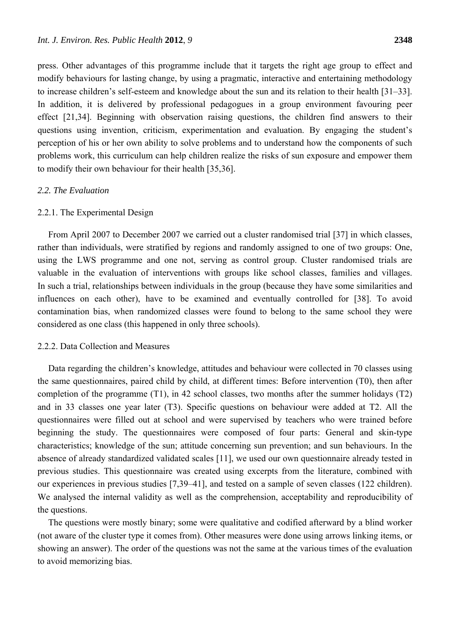press. Other advantages of this programme include that it targets the right age group to effect and modify behaviours for lasting change, by using a pragmatic, interactive and entertaining methodology to increase children's self-esteem and knowledge about the sun and its relation to their health [31–33]. In addition, it is delivered by professional pedagogues in a group environment favouring peer effect [21,34]. Beginning with observation raising questions, the children find answers to their questions using invention, criticism, experimentation and evaluation. By engaging the student's perception of his or her own ability to solve problems and to understand how the components of such problems work, this curriculum can help children realize the risks of sun exposure and empower them to modify their own behaviour for their health [35,36].

## *2.2. The Evaluation*

## 2.2.1. The Experimental Design

From April 2007 to December 2007 we carried out a cluster randomised trial [37] in which classes, rather than individuals, were stratified by regions and randomly assigned to one of two groups: One, using the LWS programme and one not, serving as control group. Cluster randomised trials are valuable in the evaluation of interventions with groups like school classes, families and villages. In such a trial, relationships between individuals in the group (because they have some similarities and influences on each other), have to be examined and eventually controlled for [38]. To avoid contamination bias, when randomized classes were found to belong to the same school they were considered as one class (this happened in only three schools).

## 2.2.2. Data Collection and Measures

Data regarding the children's knowledge, attitudes and behaviour were collected in 70 classes using the same questionnaires, paired child by child, at different times: Before intervention (T0), then after completion of the programme (T1), in 42 school classes, two months after the summer holidays (T2) and in 33 classes one year later (T3). Specific questions on behaviour were added at T2. All the questionnaires were filled out at school and were supervised by teachers who were trained before beginning the study. The questionnaires were composed of four parts: General and skin-type characteristics; knowledge of the sun; attitude concerning sun prevention; and sun behaviours. In the absence of already standardized validated scales [11], we used our own questionnaire already tested in previous studies. This questionnaire was created using excerpts from the literature, combined with our experiences in previous studies [7,39–41], and tested on a sample of seven classes (122 children). We analysed the internal validity as well as the comprehension, acceptability and reproducibility of the questions.

The questions were mostly binary; some were qualitative and codified afterward by a blind worker (not aware of the cluster type it comes from). Other measures were done using arrows linking items, or showing an answer). The order of the questions was not the same at the various times of the evaluation to avoid memorizing bias.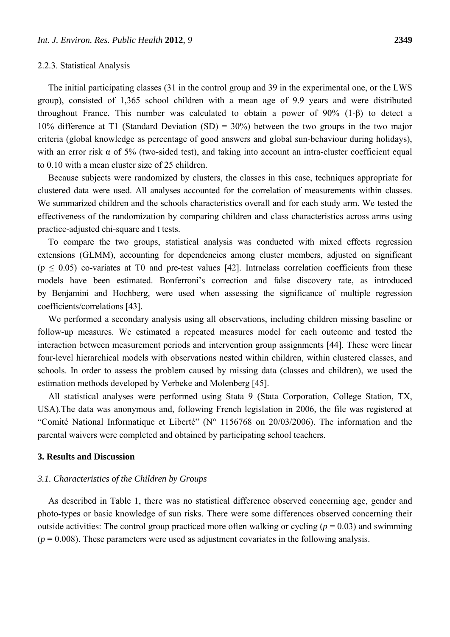#### 2.2.3. Statistical Analysis

The initial participating classes (31 in the control group and 39 in the experimental one, or the LWS group), consisted of 1,365 school children with a mean age of 9.9 years and were distributed throughout France. This number was calculated to obtain a power of 90% (1-β) to detect a 10% difference at T1 (Standard Deviation (SD) = 30%) between the two groups in the two major criteria (global knowledge as percentage of good answers and global sun-behaviour during holidays), with an error risk  $\alpha$  of 5% (two-sided test), and taking into account an intra-cluster coefficient equal to 0.10 with a mean cluster size of 25 children.

Because subjects were randomized by clusters, the classes in this case, techniques appropriate for clustered data were used. All analyses accounted for the correlation of measurements within classes. We summarized children and the schools characteristics overall and for each study arm. We tested the effectiveness of the randomization by comparing children and class characteristics across arms using practice-adjusted chi-square and t tests.

To compare the two groups, statistical analysis was conducted with mixed effects regression extensions (GLMM), accounting for dependencies among cluster members, adjusted on significant  $(p \le 0.05)$  co-variates at T0 and pre-test values [42]. Intraclass correlation coefficients from these models have been estimated. Bonferroni's correction and false discovery rate, as introduced by Benjamini and Hochberg, were used when assessing the significance of multiple regression coefficients/correlations [43].

We performed a secondary analysis using all observations, including children missing baseline or follow-up measures. We estimated a repeated measures model for each outcome and tested the interaction between measurement periods and intervention group assignments [44]. These were linear four-level hierarchical models with observations nested within children, within clustered classes, and schools. In order to assess the problem caused by missing data (classes and children), we used the estimation methods developed by Verbeke and Molenberg [45].

All statistical analyses were performed using Stata 9 (Stata Corporation, College Station, TX, USA).The data was anonymous and, following French legislation in 2006, the file was registered at "Comité National Informatique et Liberté" (N° 1156768 on 20/03/2006). The information and the parental waivers were completed and obtained by participating school teachers.

## **3. Results and Discussion**

# *3.1. Characteristics of the Children by Groups*

As described in Table 1, there was no statistical difference observed concerning age, gender and photo-types or basic knowledge of sun risks. There were some differences observed concerning their outside activities: The control group practiced more often walking or cycling ( $p = 0.03$ ) and swimming  $(p = 0.008)$ . These parameters were used as adjustment covariates in the following analysis.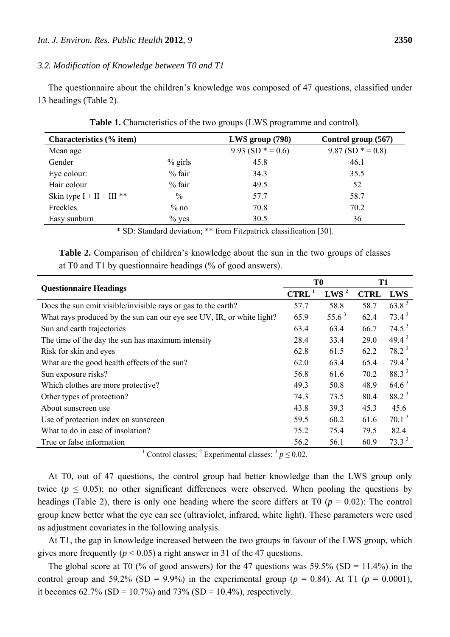#### *3.2. Modification of Knowledge between T0 and T1*

The questionnaire about the children's knowledge was composed of 47 questions, classified under 13 headings (Table 2).

| Characteristics (% item)    |               | LWS group (798)      | Control group (567)    |
|-----------------------------|---------------|----------------------|------------------------|
| Mean age                    |               | 9.93 (SD $* = 0.6$ ) | $9.87$ (SD $* = 0.8$ ) |
| Gender                      | $%$ girls     | 45.8                 | 46.1                   |
| Eye colour:                 | $%$ fair      | 34.3                 | 35.5                   |
| Hair colour                 | $%$ fair      | 49.5                 | 52                     |
| Skin type $I + II + III$ ** | $\frac{0}{0}$ | 57.7                 | 58.7                   |
| Freckles                    | $%$ no        | 70.8                 | 70.2                   |
| Easy sunburn                | $\%$ yes      | 30.5                 | 36                     |

**Table 1.** Characteristics of the two groups (LWS programme and control).

\* SD: Standard deviation; \*\* from Fitzpatrick classification [30].

**Table 2.** Comparison of children's knowledge about the sun in the two groups of classes at T0 and T1 by questionnaire headings (% of good answers).

|                                                                       |                   | T <sub>0</sub>   | <b>T1</b>   |                   |
|-----------------------------------------------------------------------|-------------------|------------------|-------------|-------------------|
| <b>Questionnaire Headings</b>                                         | CTRL <sup>1</sup> | LWS <sup>2</sup> | <b>CTRL</b> | <b>LWS</b>        |
| Does the sun emit visible/invisible rays or gas to the earth?         | 57.7              | 58.8             | 58.7        | 63.8 <sup>3</sup> |
| What rays produced by the sun can our eye see UV, IR, or white light? | 65.9              | $55.6^3$         | 62.4        | $73.4^3$          |
| Sun and earth trajectories                                            | 63.4              | 63.4             | 66.7        | 74.5 <sup>3</sup> |
| The time of the day the sun has maximum intensity                     | 28.4              | 33.4             | 29.0        | $49.4^3$          |
| Risk for skin and eyes                                                | 62.8              | 61.5             | 62.2        | $78.2^3$          |
| What are the good health effects of the sun?                          | 62.0              | 63.4             | 65.4        | $79.4^3$          |
| Sun exposure risks?                                                   | 56.8              | 61.6             | 70.2        | 88.3 3            |
| Which clothes are more protective?                                    | 49.3              | 50.8             | 48.9        | $64.6^3$          |
| Other types of protection?                                            | 74.3              | 73.5             | 80.4        | $88.2^3$          |
| About sunscreen use                                                   | 43.8              | 39.3             | 45.3        | 45.6              |
| Use of protection index on sunscreen                                  | 59.5              | 60.2             | 61.6        | 70.1 <sup>3</sup> |
| What to do in case of insolation?                                     | 75.2              | 75.4             | 79.5        | 82.4              |
| True or false information                                             | 56.2              | 56.1             | 60.9        | $73.3^3$          |

<sup>1</sup> Control classes; <sup>2</sup> Experimental classes; <sup>3</sup>  $p \le 0.02$ .

At T0, out of 47 questions, the control group had better knowledge than the LWS group only twice ( $p \leq 0.05$ ); no other significant differences were observed. When pooling the questions by headings (Table 2), there is only one heading where the score differs at T0 ( $p = 0.02$ ): The control group knew better what the eye can see (ultraviolet, infrared, white light). These parameters were used as adjustment covariates in the following analysis.

At T1, the gap in knowledge increased between the two groups in favour of the LWS group, which gives more frequently  $(p < 0.05)$  a right answer in 31 of the 47 questions.

The global score at T0 (% of good answers) for the 47 questions was  $59.5\%$  (SD = 11.4%) in the control group and 59.2% (SD = 9.9%) in the experimental group ( $p = 0.84$ ). At T1 ( $p = 0.0001$ ), it becomes  $62.7\%$  (SD = 10.7%) and 73% (SD = 10.4%), respectively.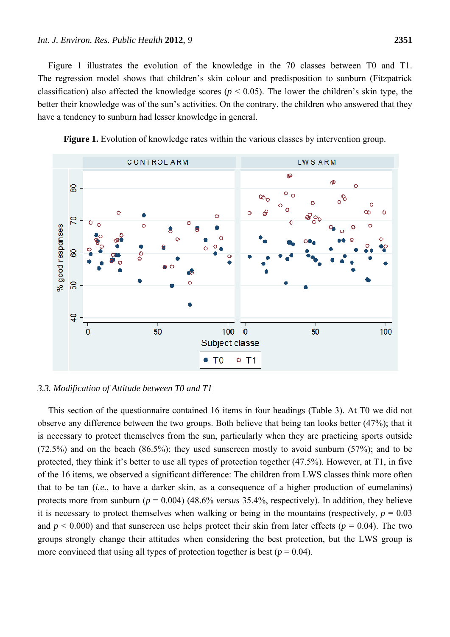Figure 1 illustrates the evolution of the knowledge in the 70 classes between T0 and T1. The regression model shows that children's skin colour and predisposition to sunburn (Fitzpatrick classification) also affected the knowledge scores ( $p < 0.05$ ). The lower the children's skin type, the better their knowledge was of the sun's activities. On the contrary, the children who answered that they have a tendency to sunburn had lesser knowledge in general.



Figure 1. Evolution of knowledge rates within the various classes by intervention group.

## *3.3. Modification of Attitude between T0 and T1*

This section of the questionnaire contained 16 items in four headings (Table 3). At T0 we did not observe any difference between the two groups. Both believe that being tan looks better (47%); that it is necessary to protect themselves from the sun, particularly when they are practicing sports outside (72.5%) and on the beach (86.5%); they used sunscreen mostly to avoid sunburn (57%); and to be protected, they think it's better to use all types of protection together (47.5%). However, at T1, in five of the 16 items, we observed a significant difference: The children from LWS classes think more often that to be tan (*i.e.*, to have a darker skin, as a consequence of a higher production of eumelanins) protects more from sunburn ( $p = 0.004$ ) (48.6% *versus* 35.4%, respectively). In addition, they believe it is necessary to protect themselves when walking or being in the mountains (respectively,  $p = 0.03$ ) and  $p < 0.000$ ) and that sunscreen use helps protect their skin from later effects ( $p = 0.04$ ). The two groups strongly change their attitudes when considering the best protection, but the LWS group is more convinced that using all types of protection together is best ( $p = 0.04$ ).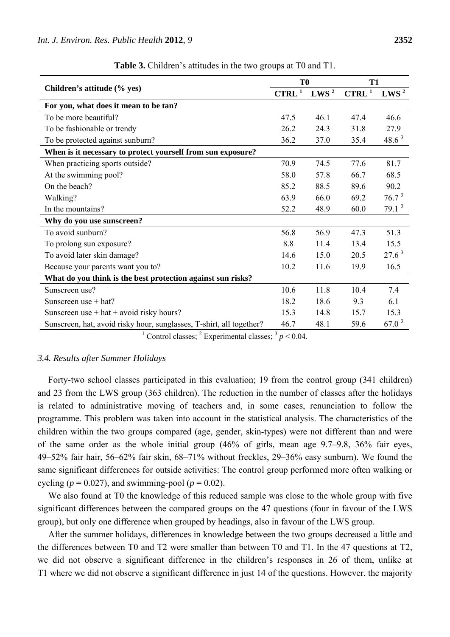|                                                                      |                     | T <sub>0</sub>   | <b>T1</b>         |                   |  |
|----------------------------------------------------------------------|---------------------|------------------|-------------------|-------------------|--|
| Children's attitude (% yes)                                          | $CTRL$ <sup>1</sup> | LWS <sup>2</sup> | CTRL <sup>1</sup> | LWS <sup>2</sup>  |  |
| For you, what does it mean to be tan?                                |                     |                  |                   |                   |  |
| To be more beautiful?                                                | 47.5                | 46.1             | 47.4              | 46.6              |  |
| To be fashionable or trendy                                          | 26.2                | 24.3             | 31.8              | 27.9              |  |
| To be protected against sunburn?                                     | 36.2                | 37.0             | 35.4              | 48.6 <sup>3</sup> |  |
| When is it necessary to protect yourself from sun exposure?          |                     |                  |                   |                   |  |
| When practicing sports outside?                                      | 70.9                | 74.5             | 77.6              | 81.7              |  |
| At the swimming pool?                                                | 58.0                | 57.8             | 66.7              | 68.5              |  |
| On the beach?                                                        | 85.2                | 88.5             | 89.6              | 90.2              |  |
| Walking?                                                             | 63.9                | 66.0             | 69.2              | 76.7 <sup>3</sup> |  |
| In the mountains?                                                    | 52.2                | 48.9             | 60.0              | 79.1 <sup>3</sup> |  |
| Why do you use sunscreen?                                            |                     |                  |                   |                   |  |
| To avoid sunburn?                                                    | 56.8                | 56.9             | 47.3              | 51.3              |  |
| To prolong sun exposure?                                             | 8.8                 | 11.4             | 13.4              | 15.5              |  |
| To avoid later skin damage?                                          | 14.6                | 15.0             | 20.5              | $27.6^3$          |  |
| Because your parents want you to?                                    | 10.2                | 11.6             | 19.9              | 16.5              |  |
| What do you think is the best protection against sun risks?          |                     |                  |                   |                   |  |
| Sunscreen use?                                                       | 10.6                | 11.8             | 10.4              | 7.4               |  |
| Sunscreen use $+$ hat?                                               | 18.2                | 18.6             | 9.3               | 6.1               |  |
| Sunscreen use $+$ hat $+$ avoid risky hours?                         | 15.3                | 14.8             | 15.7              | 15.3              |  |
| Sunscreen, hat, avoid risky hour, sunglasses, T-shirt, all together? | 46.7                | 48.1             | 59.6              | $67.0^3$          |  |

**Table 3.** Children's attitudes in the two groups at T0 and T1.

<sup>1</sup> Control classes; <sup>2</sup> Experimental classes; <sup>3</sup>  $p < 0.04$ .

## *3.4. Results after Summer Holidays*

Forty-two school classes participated in this evaluation; 19 from the control group (341 children) and 23 from the LWS group (363 children). The reduction in the number of classes after the holidays is related to administrative moving of teachers and, in some cases, renunciation to follow the programme. This problem was taken into account in the statistical analysis. The characteristics of the children within the two groups compared (age, gender, skin-types) were not different than and were of the same order as the whole initial group (46% of girls, mean age 9.7–9.8, 36% fair eyes, 49–52% fair hair, 56–62% fair skin, 68–71% without freckles, 29–36% easy sunburn). We found the same significant differences for outside activities: The control group performed more often walking or cycling ( $p = 0.027$ ), and swimming-pool ( $p = 0.02$ ).

We also found at T0 the knowledge of this reduced sample was close to the whole group with five significant differences between the compared groups on the 47 questions (four in favour of the LWS group), but only one difference when grouped by headings, also in favour of the LWS group.

After the summer holidays, differences in knowledge between the two groups decreased a little and the differences between T0 and T2 were smaller than between T0 and T1. In the 47 questions at T2, we did not observe a significant difference in the children's responses in 26 of them, unlike at T1 where we did not observe a significant difference in just 14 of the questions. However, the majority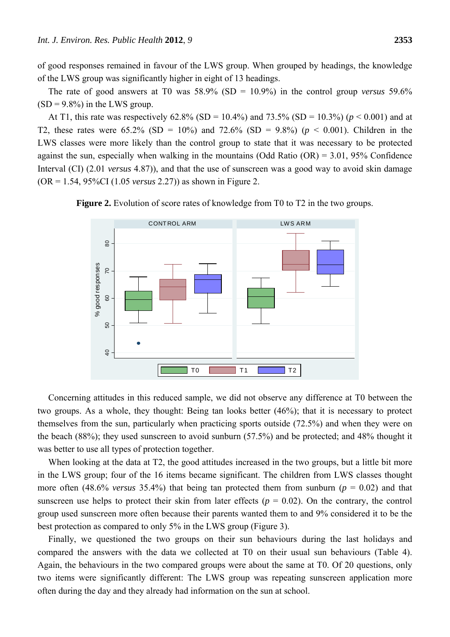of good responses remained in favour of the LWS group. When grouped by headings, the knowledge of the LWS group was significantly higher in eight of 13 headings.

The rate of good answers at T0 was 58.9% (SD = 10.9%) in the control group *versus* 59.6%  $(SD = 9.8\%)$  in the LWS group.

At T1, this rate was respectively 62.8% (SD = 10.4%) and 73.5% (SD = 10.3%) (*p* < 0.001) and at T2, these rates were  $65.2\%$  (SD =  $10\%$ ) and  $72.6\%$  (SD =  $9.8\%$ ) ( $p < 0.001$ ). Children in the LWS classes were more likely than the control group to state that it was necessary to be protected against the sun, especially when walking in the mountains (Odd Ratio  $(OR) = 3.01$ , 95% Confidence Interval (CI) (2.01 *versus* 4.87)), and that the use of sunscreen was a good way to avoid skin damage (OR = 1.54, 95%CI (1.05 *versus* 2.27)) as shown in Figure 2.



**Figure 2.** Evolution of score rates of knowledge from T0 to T2 in the two groups.

Concerning attitudes in this reduced sample, we did not observe any difference at T0 between the two groups. As a whole, they thought: Being tan looks better (46%); that it is necessary to protect themselves from the sun, particularly when practicing sports outside (72.5%) and when they were on the beach (88%); they used sunscreen to avoid sunburn (57.5%) and be protected; and 48% thought it was better to use all types of protection together.

When looking at the data at T2, the good attitudes increased in the two groups, but a little bit more in the LWS group; four of the 16 items became significant. The children from LWS classes thought more often (48.6% *versus* 35.4%) that being tan protected them from sunburn ( $p = 0.02$ ) and that sunscreen use helps to protect their skin from later effects ( $p = 0.02$ ). On the contrary, the control group used sunscreen more often because their parents wanted them to and 9% considered it to be the best protection as compared to only 5% in the LWS group (Figure 3).

Finally, we questioned the two groups on their sun behaviours during the last holidays and compared the answers with the data we collected at T0 on their usual sun behaviours (Table 4). Again, the behaviours in the two compared groups were about the same at T0. Of 20 questions, only two items were significantly different: The LWS group was repeating sunscreen application more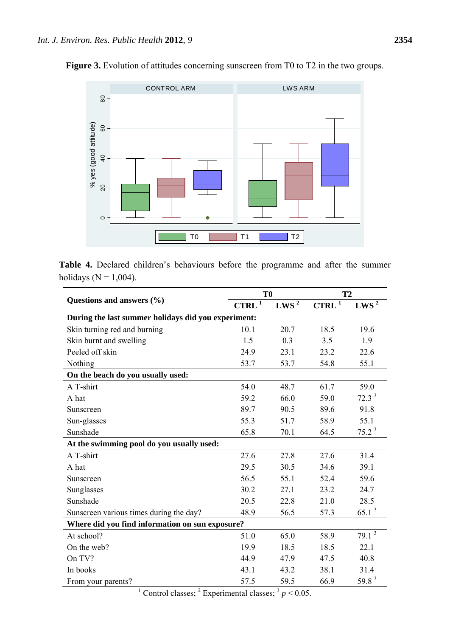

Figure 3. Evolution of attitudes concerning sunscreen from T0 to T2 in the two groups.

|                           |  |  | <b>Table 4.</b> Declared children's behaviours before the programme and after the summer |  |  |
|---------------------------|--|--|------------------------------------------------------------------------------------------|--|--|
| holidays ( $N = 1,004$ ). |  |  |                                                                                          |  |  |

|                                                     | T <sub>0</sub>       |          | <b>T2</b>           |                   |  |
|-----------------------------------------------------|----------------------|----------|---------------------|-------------------|--|
| Questions and answers $(\% )$                       | $\mathbf{CTRL}$ $^1$ | LWS $^2$ | $CTRL$ <sup>1</sup> | LWS $^2$          |  |
| During the last summer holidays did you experiment: |                      |          |                     |                   |  |
| Skin turning red and burning                        | 10.1                 | 20.7     | 18.5                | 19.6              |  |
| Skin burnt and swelling                             | 1.5                  | 0.3      | 3.5                 | 1.9               |  |
| Peeled off skin                                     | 24.9                 | 23.1     | 23.2                | 22.6              |  |
| Nothing                                             | 53.7                 | 53.7     | 54.8                | 55.1              |  |
| On the beach do you usually used:                   |                      |          |                     |                   |  |
| A T-shirt                                           | 54.0                 | 48.7     | 61.7                | 59.0              |  |
| A hat                                               | 59.2                 | 66.0     | 59.0                | $72.3^3$          |  |
| Sunscreen                                           | 89.7                 | 90.5     | 89.6                | 91.8              |  |
| Sun-glasses                                         | 55.3                 | 51.7     | 58.9                | 55.1              |  |
| Sunshade                                            | 65.8                 | 70.1     | 64.5                | $75.2^3$          |  |
| At the swimming pool do you usually used:           |                      |          |                     |                   |  |
| A T-shirt                                           | 27.6                 | 27.8     | 27.6                | 31.4              |  |
| A hat                                               | 29.5                 | 30.5     | 34.6                | 39.1              |  |
| Sunscreen                                           | 56.5                 | 55.1     | 52.4                | 59.6              |  |
| Sunglasses                                          | 30.2                 | 27.1     | 23.2                | 24.7              |  |
| Sunshade                                            | 20.5                 | 22.8     | 21.0                | 28.5              |  |
| Sunscreen various times during the day?             | 48.9                 | 56.5     | 57.3                | 65.1 <sup>3</sup> |  |
| Where did you find information on sun exposure?     |                      |          |                     |                   |  |
| At school?                                          | 51.0                 | 65.0     | 58.9                | 79.1 <sup>3</sup> |  |
| On the web?                                         | 19.9                 | 18.5     | 18.5                | 22.1              |  |
| On TV?                                              | 44.9                 | 47.9     | 47.5                | 40.8              |  |
| In books                                            | 43.1                 | 43.2     | 38.1                | 31.4              |  |
| From your parents?<br>$\sim$                        | 57.5                 | 59.5     | 66.9                | 59.8 <sup>3</sup> |  |

<sup>1</sup> Control classes; <sup>2</sup> Experimental classes; <sup>3</sup>  $p < 0.05$ .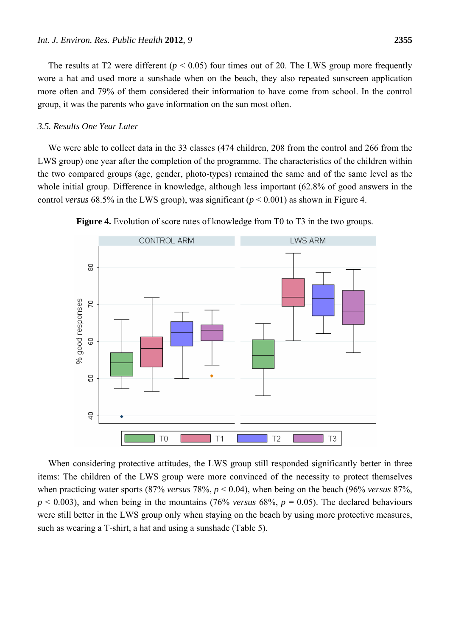The results at T2 were different ( $p < 0.05$ ) four times out of 20. The LWS group more frequently wore a hat and used more a sunshade when on the beach, they also repeated sunscreen application more often and 79% of them considered their information to have come from school. In the control group, it was the parents who gave information on the sun most often.

## *3.5. Results One Year Later*

We were able to collect data in the 33 classes (474 children, 208 from the control and 266 from the LWS group) one year after the completion of the programme. The characteristics of the children within the two compared groups (age, gender, photo-types) remained the same and of the same level as the whole initial group. Difference in knowledge, although less important (62.8% of good answers in the control *versus* 68.5% in the LWS group), was significant ( $p < 0.001$ ) as shown in Figure 4.



**Figure 4.** Evolution of score rates of knowledge from T0 to T3 in the two groups.

When considering protective attitudes, the LWS group still responded significantly better in three items: The children of the LWS group were more convinced of the necessity to protect themselves when practicing water sports (87% *versus* 78%, *p* < 0.04), when being on the beach (96% *versus* 87%,  $p < 0.003$ ), and when being in the mountains (76% *versus* 68%,  $p = 0.05$ ). The declared behaviours were still better in the LWS group only when staying on the beach by using more protective measures, such as wearing a T-shirt, a hat and using a sunshade (Table 5).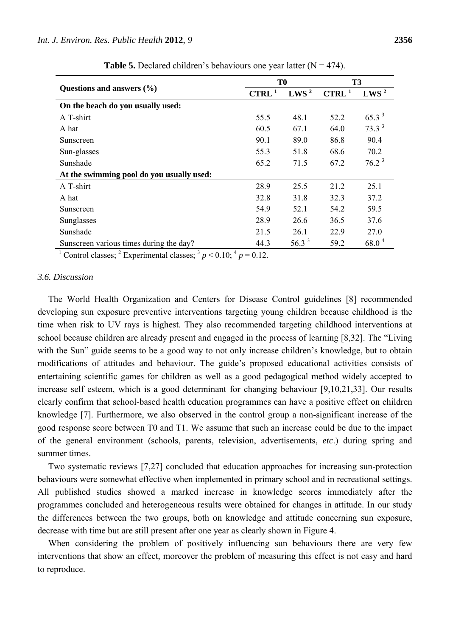|                                           |                   | T <sub>0</sub>    | <b>T3</b>         |                   |  |
|-------------------------------------------|-------------------|-------------------|-------------------|-------------------|--|
| Questions and answers $(\% )$             | CTRL <sup>1</sup> | LWS <sup>2</sup>  | CTRL <sup>1</sup> | LWS <sup>2</sup>  |  |
| On the beach do you usually used:         |                   |                   |                   |                   |  |
| A T-shirt                                 | 55.5              | 48.1              | 52.2              | 65.3 <sup>3</sup> |  |
| A hat                                     | 60.5              | 67.1              | 64.0              | 73.3 <sup>3</sup> |  |
| Sunscreen                                 | 90.1              | 89.0              | 86.8              | 90.4              |  |
| Sun-glasses                               | 55.3              | 51.8              | 68.6              | 70.2              |  |
| Sunshade                                  | 65.2              | 71.5              | 67.2              | $76.2^3$          |  |
| At the swimming pool do you usually used: |                   |                   |                   |                   |  |
| A T-shirt                                 | 28.9              | 25.5              | 21.2              | 25.1              |  |
| A hat                                     | 32.8              | 31.8              | 32.3              | 37.2              |  |
| Sunscreen                                 | 54.9              | 52.1              | 54.2              | 59.5              |  |
| Sunglasses                                | 28.9              | 26.6              | 36.5              | 37.6              |  |
| Sunshade                                  | 21.5              | 26.1              | 22.9              | 27.0              |  |
| Sunscreen various times during the day?   | 44.3              | 56.3 <sup>3</sup> | 59.2              | $68.0^4$          |  |

**Table 5.** Declared children's behaviours one year latter  $(N = 474)$ .

<sup>1</sup> Control classes; <sup>2</sup> Experimental classes; <sup>3</sup>  $p < 0.10$ ; <sup>4</sup>  $p = 0.12$ .

# *3.6. Discussion*

The World Health Organization and Centers for Disease Control guidelines [8] recommended developing sun exposure preventive interventions targeting young children because childhood is the time when risk to UV rays is highest. They also recommended targeting childhood interventions at school because children are already present and engaged in the process of learning [8,32]. The "Living with the Sun" guide seems to be a good way to not only increase children's knowledge, but to obtain modifications of attitudes and behaviour. The guide's proposed educational activities consists of entertaining scientific games for children as well as a good pedagogical method widely accepted to increase self esteem, which is a good determinant for changing behaviour [9,10,21,33]. Our results clearly confirm that school-based health education programmes can have a positive effect on children knowledge [7]. Furthermore, we also observed in the control group a non-significant increase of the good response score between T0 and T1. We assume that such an increase could be due to the impact of the general environment (schools, parents, television, advertisements, *etc*.) during spring and summer times.

Two systematic reviews [7,27] concluded that education approaches for increasing sun-protection behaviours were somewhat effective when implemented in primary school and in recreational settings. All published studies showed a marked increase in knowledge scores immediately after the programmes concluded and heterogeneous results were obtained for changes in attitude. In our study the differences between the two groups, both on knowledge and attitude concerning sun exposure, decrease with time but are still present after one year as clearly shown in Figure 4.

When considering the problem of positively influencing sun behaviours there are very few interventions that show an effect, moreover the problem of measuring this effect is not easy and hard to reproduce.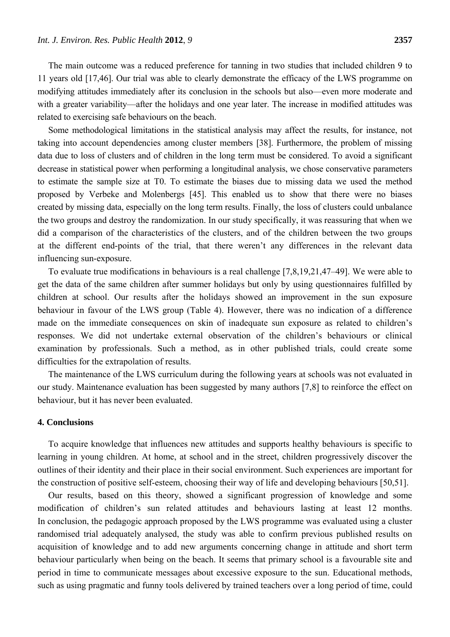The main outcome was a reduced preference for tanning in two studies that included children 9 to 11 years old [17,46]. Our trial was able to clearly demonstrate the efficacy of the LWS programme on modifying attitudes immediately after its conclusion in the schools but also—even more moderate and with a greater variability—after the holidays and one year later. The increase in modified attitudes was related to exercising safe behaviours on the beach.

Some methodological limitations in the statistical analysis may affect the results, for instance, not taking into account dependencies among cluster members [38]. Furthermore, the problem of missing data due to loss of clusters and of children in the long term must be considered. To avoid a significant decrease in statistical power when performing a longitudinal analysis, we chose conservative parameters to estimate the sample size at T0. To estimate the biases due to missing data we used the method proposed by Verbeke and Molenbergs [45]. This enabled us to show that there were no biases created by missing data, especially on the long term results. Finally, the loss of clusters could unbalance the two groups and destroy the randomization. In our study specifically, it was reassuring that when we did a comparison of the characteristics of the clusters, and of the children between the two groups at the different end-points of the trial, that there weren't any differences in the relevant data influencing sun-exposure.

To evaluate true modifications in behaviours is a real challenge [7,8,19,21,47–49]. We were able to get the data of the same children after summer holidays but only by using questionnaires fulfilled by children at school. Our results after the holidays showed an improvement in the sun exposure behaviour in favour of the LWS group (Table 4). However, there was no indication of a difference made on the immediate consequences on skin of inadequate sun exposure as related to children's responses. We did not undertake external observation of the children's behaviours or clinical examination by professionals. Such a method, as in other published trials, could create some difficulties for the extrapolation of results.

The maintenance of the LWS curriculum during the following years at schools was not evaluated in our study. Maintenance evaluation has been suggested by many authors [7,8] to reinforce the effect on behaviour, but it has never been evaluated.

# **4. Conclusions**

To acquire knowledge that influences new attitudes and supports healthy behaviours is specific to learning in young children. At home, at school and in the street, children progressively discover the outlines of their identity and their place in their social environment. Such experiences are important for the construction of positive self-esteem, choosing their way of life and developing behaviours [50,51].

Our results, based on this theory, showed a significant progression of knowledge and some modification of children's sun related attitudes and behaviours lasting at least 12 months. In conclusion, the pedagogic approach proposed by the LWS programme was evaluated using a cluster randomised trial adequately analysed, the study was able to confirm previous published results on acquisition of knowledge and to add new arguments concerning change in attitude and short term behaviour particularly when being on the beach. It seems that primary school is a favourable site and period in time to communicate messages about excessive exposure to the sun. Educational methods, such as using pragmatic and funny tools delivered by trained teachers over a long period of time, could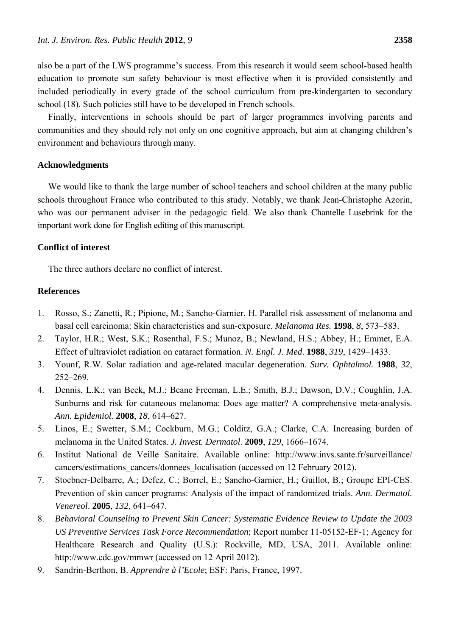also be a part of the LWS programme's success. From this research it would seem school-based health education to promote sun safety behaviour is most effective when it is provided consistently and included periodically in every grade of the school curriculum from pre-kindergarten to secondary school (18). Such policies still have to be developed in French schools.

Finally, interventions in schools should be part of larger programmes involving parents and communities and they should rely not only on one cognitive approach, but aim at changing children's environment and behaviours through many.

## **Acknowledgments**

We would like to thank the large number of school teachers and school children at the many public schools throughout France who contributed to this study. Notably, we thank Jean-Christophe Azorin, who was our permanent adviser in the pedagogic field. We also thank Chantelle Lusebrink for the important work done for English editing of this manuscript.

# **Conflict of interest**

The three authors declare no conflict of interest.

# **References**

- 1. Rosso, S.; Zanetti, R.; Pipione, M.; Sancho-Garnier, H. Parallel risk assessment of melanoma and basal cell carcinoma: Skin characteristics and sun-exposure. *Melanoma Res.* **1998**, *8*, 573–583.
- 2. Taylor, H.R.; West, S.K.; Rosenthal, F.S.; Munoz, B.; Newland, H.S.; Abbey, H.; Emmet, E.A. Effect of ultraviolet radiation on cataract formation. *N. Engl. J. Med*. **1988**, *319*, 1429–1433.
- 3. Younf, R.W. Solar radiation and age-related macular degeneration. *Surv. Ophtalmol.* **1988**, *32*, 252–269.
- 4. Dennis, L.K.; van Beek, M.J.; Beane Freeman, L.E.; Smith, B.J.; Dawson, D.V.; Coughlin, J.A. Sunburns and risk for cutaneous melanoma: Does age matter? A comprehensive meta-analysis. *Ann. Epidemiol.* **2008**, *18*, 614–627.
- 5. Linos, E.; Swetter, S.M.; Cockburn, M.G.; Colditz, G.A.; Clarke, C.A. Increasing burden of melanoma in the United States. *J. Invest. Dermatol*. **2009**, *129*, 1666–1674.
- 6. Institut National de Veille Sanitaire. Available online: http://www.invs.sante.fr/surveillance/ cancers/estimations\_cancers/donnees\_localisation (accessed on 12 February 2012).
- 7. Stoebner-Delbarre, A.; Defez, C.; Borrel, E.; Sancho-Garnier, H.; Guillot, B.; Groupe EPI-CES. Prevention of skin cancer programs: Analysis of the impact of randomized trials. *Ann. Dermatol. Venereol*. **2005**, *132*, 641–647.
- 8. *Behavioral Counseling to Prevent Skin Cancer: Systematic Evidence Review to Update the 2003 US Preventive Services Task Force Recommendation*; Report number 11-05152-EF-1; Agency for Healthcare Research and Quality (U.S.): Rockville, MD, USA, 2011. Available online: http://www.cdc.gov/mmwr (accessed on 12 April 2012).
- 9. Sandrin-Berthon, B. *Apprendre à l'Ecole*; ESF: Paris, France, 1997.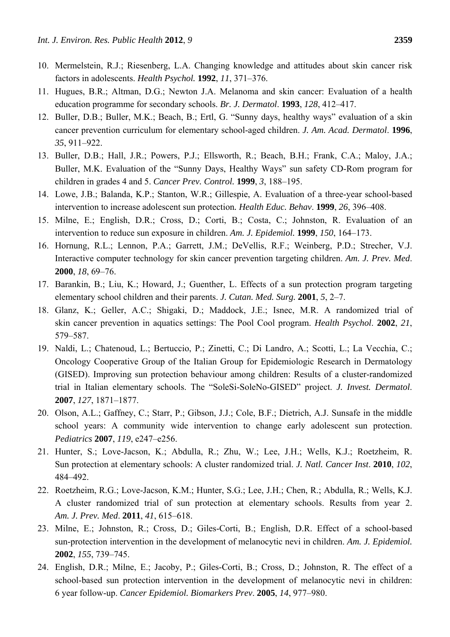- 10. Mermelstein, R.J.; Riesenberg, L.A. Changing knowledge and attitudes about skin cancer risk factors in adolescents. *Health Psychol.* **1992**, *11*, 371–376.
- 11. Hugues, B.R.; Altman, D.G.; Newton J.A. Melanoma and skin cancer: Evaluation of a health education programme for secondary schools. *Br. J. Dermatol*. **1993**, *128*, 412–417.
- 12. Buller, D.B.; Buller, M.K.; Beach, B.; Ertl, G. "Sunny days, healthy ways" evaluation of a skin cancer prevention curriculum for elementary school-aged children. *J. Am. Acad. Dermatol*. **1996**, *35*, 911–922.
- 13. Buller, D.B.; Hall, J.R.; Powers, P.J.; Ellsworth, R.; Beach, B.H.; Frank, C.A.; Maloy, J.A.; Buller, M.K. Evaluation of the "Sunny Days, Healthy Ways" sun safety CD-Rom program for children in grades 4 and 5. *Cancer Prev. Control.* **1999**, *3*, 188–195.
- 14. Lowe, J.B.; Balanda, K.P.; Stanton, W.R.; Gillespie, A. Evaluation of a three-year school-based intervention to increase adolescent sun protection*. Health Educ. Behav*. **1999**, *26*, 396–408.
- 15. Milne, E.; English, D.R.; Cross, D.; Corti, B.; Costa, C.; Johnston, R. Evaluation of an intervention to reduce sun exposure in children. *Am. J. Epidemiol.* **1999**, *150*, 164–173.
- 16. Hornung, R.L.; Lennon, P.A.; Garrett, J.M.; DeVellis, R.F.; Weinberg, P.D.; Strecher, V.J. Interactive computer technology for skin cancer prevention targeting children. *Am. J. Prev. Med*. **2000**, *18*, 69–76.
- 17. Barankin, B.; Liu, K.; Howard, J.; Guenther, L. Effects of a sun protection program targeting elementary school children and their parents. *J. Cutan. Med. Surg.* **2001**, *5*, 2–7.
- 18. Glanz, K.; Geller, A.C.; Shigaki, D.; Maddock, J.E.; Isnec, M.R. A randomized trial of skin cancer prevention in aquatics settings: The Pool Cool program. *Health Psychol*. **2002**, *21*, 579–587.
- 19. Naldi, L.; Chatenoud, L.; Bertuccio, P.; Zinetti, C.; Di Landro, A.; Scotti, L.; La Vecchia, C.; Oncology Cooperative Group of the Italian Group for Epidemiologic Research in Dermatology (GISED). Improving sun protection behaviour among children: Results of a cluster-randomized trial in Italian elementary schools. The "SoleSi-SoleNo-GISED" project. *J. Invest. Dermatol*. **2007**, *127*, 1871–1877.
- 20. Olson, A.L.; Gaffney, C.; Starr, P.; Gibson, J.J.; Cole, B.F.; Dietrich, A.J. Sunsafe in the middle school years: A community wide intervention to change early adolescent sun protection. *Pediatrics* **2007**, *119*, e247–e256.
- 21. Hunter, S.; Love-Jacson, K.; Abdulla, R.; Zhu, W.; Lee, J.H.; Wells, K.J.; Roetzheim, R. Sun protection at elementary schools: A cluster randomized trial. *J. Natl. Cancer Inst*. **2010**, *102*, 484–492.
- 22. Roetzheim, R.G.; Love-Jacson, K.M.; Hunter, S.G.; Lee, J.H.; Chen, R.; Abdulla, R.; Wells, K.J. A cluster randomized trial of sun protection at elementary schools. Results from year 2. *Am. J. Prev. Med*. **2011**, *41*, 615–618.
- 23. Milne, E.; Johnston, R.; Cross, D.; Giles-Corti, B.; English, D.R. Effect of a school-based sun-protection intervention in the development of melanocytic nevi in children. *Am. J. Epidemiol.* **2002**, *155*, 739–745.
- 24. English, D.R.; Milne, E.; Jacoby, P.; Giles-Corti, B.; Cross, D.; Johnston, R. The effect of a school-based sun protection intervention in the development of melanocytic nevi in children: 6 year follow-up. *Cancer Epidemiol. Biomarkers Prev*. **2005**, *14*, 977–980.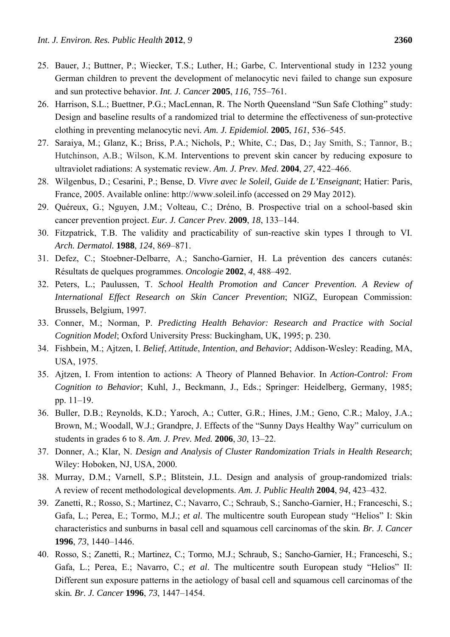- 26. Harrison, S.L.; Buettner, P.G.; MacLennan, R. The North Queensland "Sun Safe Clothing" study: Design and baseline results of a randomized trial to determine the effectiveness of sun-protective clothing in preventing melanocytic nevi. *Am. J. Epidemiol.* **2005**, *161*, 536–545.
- 27. Saraiya, M.; Glanz, K.; Briss, P.A.; Nichols, P.; White, C.; Das, D.; Jay Smith, S.; Tannor, B.; Hutchinson, A.B.; Wilson, K.M. Interventions to prevent skin cancer by reducing exposure to ultraviolet radiations: A systematic review. *Am. J. Prev. Med.* **2004**, *27*, 422–466.
- 28. Wilgenbus, D.; Cesarini, P.; Bense, D. *Vivre avec le Soleil, Guide de L'Enseignant*; Hatier: Paris, France, 2005. Available online: http://www.soleil.info (accessed on 29 May 2012).
- 29. Quéreux, G.; Nguyen, J.M.; Volteau, C.; Dréno, B. Prospective trial on a school-based skin cancer prevention project. *Eur. J. Cancer Prev*. **2009**, *18*, 133–144.
- 30. Fitzpatrick, T.B. The validity and practicability of sun-reactive skin types I through to VI. *Arch. Dermatol.* **1988**, *124*, 869–871.
- 31. Defez, C.; Stoebner-Delbarre, A.; Sancho-Garnier, H. La prévention des cancers cutanés: Résultats de quelques programmes. *Oncologie* **2002**, *4*, 488–492.
- 32. Peters, L.; Paulussen, T. *School Health Promotion and Cancer Prevention. A Review of International Effect Research on Skin Cancer Prevention*; NIGZ, European Commission: Brussels, Belgium, 1997.
- 33. Conner, M.; Norman, P. *Predicting Health Behavior: Research and Practice with Social Cognition Model*; Oxford University Press: Buckingham, UK, 1995; p. 230.
- 34. Fishbein, M.; Ajtzen, I. *Belief*, *Attitude*, *Intention*, *and Behavior*; Addison-Wesley: Reading, MA, USA, 1975.
- 35. Ajtzen, I. From intention to actions: A Theory of Planned Behavior. In *Action-Control: From Cognition to Behavior*; Kuhl, J., Beckmann, J., Eds.; Springer: Heidelberg, Germany, 1985; pp. 11–19.
- 36. Buller, D.B.; Reynolds, K.D.; Yaroch, A.; Cutter, G.R.; Hines, J.M.; Geno, C.R.; Maloy, J.A.; Brown, M.; Woodall, W.J.; Grandpre, J. Effects of the "Sunny Days Healthy Way" curriculum on students in grades 6 to 8. *Am. J. Prev. Med.* **2006**, *30*, 13–22.
- 37. Donner, A.; Klar, N. *Design and Analysis of Cluster Randomization Trials in Health Research*; Wiley: Hoboken, NJ, USA, 2000.
- 38. Murray, D.M.; Varnell, S.P.; Blitstein, J.L. Design and analysis of group-randomized trials: A review of recent methodological developments. *Am. J. Public Health* **2004**, *94*, 423–432.
- 39. Zanetti, R.; Rosso, S.; Martinez, C.; Navarro, C.; Schraub, S.; Sancho-Garnier, H.; Franceschi, S.; Gafa, L.; Perea, E.; Tormo, M.J.; *et al*. The multicentre south European study "Helios" I: Skin characteristics and sunburns in basal cell and squamous cell carcinomas of the skin*. Br. J. Cancer* **1996**, *73*, 1440–1446.
- 40. Rosso, S.; Zanetti, R.; Martinez, C.; Tormo, M.J.; Schraub, S.; Sancho-Garnier, H.; Franceschi, S.; Gafa, L.; Perea, E.; Navarro, C.; *et al*. The multicentre south European study "Helios" II: Different sun exposure patterns in the aetiology of basal cell and squamous cell carcinomas of the skin*. Br. J. Cancer* **1996**, *73*, 1447–1454.